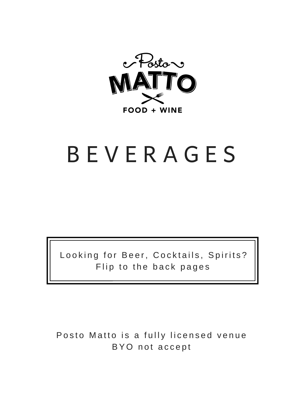

# B E V E R A G E S

Looking for Beer, Cocktails, Spirits? Flip to the back pages

Posto Matto is a fully licensed venue BYO not accept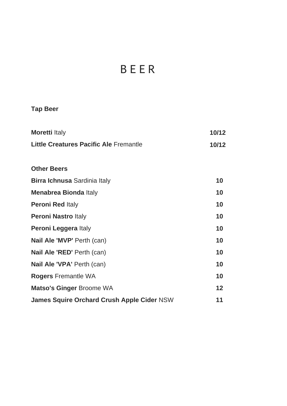### B E E R

#### **Tap Beer**

| <b>Moretti Italy</b>                              | 10/12 |
|---------------------------------------------------|-------|
| Little Creatures Pacific Ale Fremantle            | 10/12 |
|                                                   |       |
| <b>Other Beers</b>                                |       |
| <b>Birra Ichnusa</b> Sardinia Italy               | 10    |
| Menabrea Bionda Italy                             | 10    |
| <b>Peroni Red Italy</b>                           | 10    |
| <b>Peroni Nastro Italy</b>                        | 10    |
| Peroni Leggera Italy                              | 10    |
| Nail Ale 'MVP' Perth (can)                        | 10    |
| Nail Ale 'RED' Perth (can)                        | 10    |
| Nail Ale 'VPA' Perth (can)                        | 10    |
| <b>Rogers Fremantle WA</b>                        | 10    |
| <b>Matso's Ginger Broome WA</b>                   | 12    |
| <b>James Squire Orchard Crush Apple Cider NSW</b> | 11    |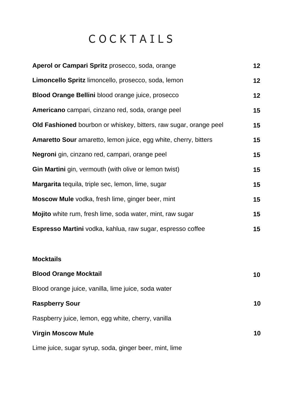### C O C K T A I L S

| Aperol or Campari Spritz prosecco, soda, orange                        | 12 |
|------------------------------------------------------------------------|----|
| Limoncello Spritz limoncello, prosecco, soda, lemon                    | 12 |
| <b>Blood Orange Bellini</b> blood orange juice, prosecco               | 12 |
| Americano campari, cinzano red, soda, orange peel                      | 15 |
| Old Fashioned bourbon or whiskey, bitters, raw sugar, orange peel      | 15 |
| <b>Amaretto Sour</b> amaretto, lemon juice, egg white, cherry, bitters | 15 |
| Negroni gin, cinzano red, campari, orange peel                         | 15 |
| Gin Martini gin, vermouth (with olive or lemon twist)                  | 15 |
| Margarita tequila, triple sec, lemon, lime, sugar                      | 15 |
| Moscow Mule vodka, fresh lime, ginger beer, mint                       | 15 |
| Mojito white rum, fresh lime, soda water, mint, raw sugar              | 15 |
| Espresso Martini vodka, kahlua, raw sugar, espresso coffee             | 15 |
|                                                                        |    |
| <b>Mocktails</b>                                                       |    |
| <b>Blood Orange Mocktail</b>                                           | 10 |
| Blood orange juice, vanilla, lime juice, soda water                    |    |
|                                                                        |    |

**10**

**10**

**Raspberry Sour**

Raspberry juice, lemon, egg white, cherry, vanilla

#### **Virgin Moscow Mule**

Lime juice, sugar syrup, soda, ginger beer, mint, lime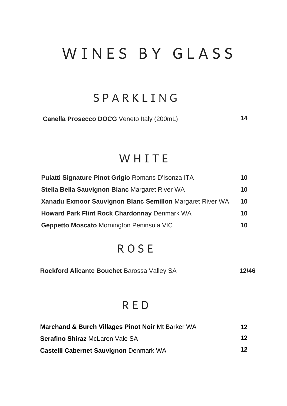## WINES BY GLASS

### **SPARKLING**

| <b>Canella Prosecco DOCG</b> Veneto Italy (200mL) |  |
|---------------------------------------------------|--|
|---------------------------------------------------|--|

### WHITE

| <b>Puiatti Signature Pinot Grigio Romans D'Isonza ITA</b> | 10 |
|-----------------------------------------------------------|----|
| Stella Bella Sauvignon Blanc Margaret River WA            | 10 |
| Xanadu Exmoor Sauvignon Blanc Semillon Margaret River WA  | 10 |
| Howard Park Flint Rock Chardonnay Denmark WA              | 10 |
| Geppetto Moscato Mornington Peninsula VIC                 | 10 |

### R O S E

| Rockford Alicante Bouchet Barossa Valley SA | 12/46 |
|---------------------------------------------|-------|
|---------------------------------------------|-------|

### R E D

| <b>Marchand &amp; Burch Villages Pinot Noir Mt Barker WA</b> | 12        |
|--------------------------------------------------------------|-----------|
| <b>Serafino Shiraz McLaren Vale SA</b>                       | <b>12</b> |
| Castelli Cabernet Sauvignon Denmark WA                       | 12        |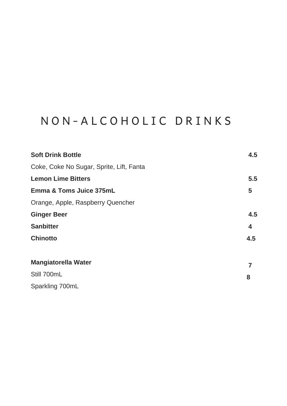### N O N - A L C O H O L I C D R I N K S

| <b>Soft Drink Bottle</b>                 | 4.5 |
|------------------------------------------|-----|
| Coke, Coke No Sugar, Sprite, Lift, Fanta |     |
| <b>Lemon Lime Bitters</b>                | 5.5 |
| <b>Emma &amp; Toms Juice 375mL</b>       | 5   |
| Orange, Apple, Raspberry Quencher        |     |
| <b>Ginger Beer</b>                       | 4.5 |
| <b>Sanbitter</b>                         | 4   |
| <b>Chinotto</b>                          | 4.5 |
|                                          |     |
| <b>Mangiatorella Water</b>               | 7   |
| Still 700mL                              | 8   |
| Sparkling 700mL                          |     |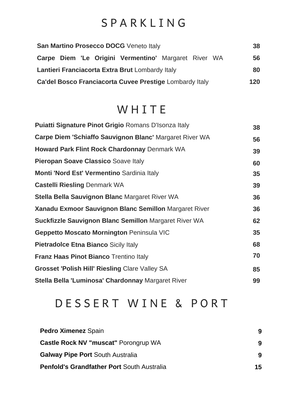### **SPARKLING**

| San Martino Prosecco DOCG Veneto Italy                  | 38  |
|---------------------------------------------------------|-----|
| Carpe Diem 'Le Origini Vermentino' Margaret River WA    | 56  |
| Lantieri Franciacorta Extra Brut Lombardy Italy         | 80  |
| Ca'del Bosco Franciacorta Cuvee Prestige Lombardy Italy | 120 |

### **WHITE**

| <b>Puiatti Signature Pinot Grigio Romans D'Isonza Italy</b>  | 38 |
|--------------------------------------------------------------|----|
| Carpe Diem 'Schiaffo Sauvignon Blanc' Margaret River WA      | 56 |
| <b>Howard Park Flint Rock Chardonnay Denmark WA</b>          | 39 |
| Pieropan Soave Classico Soave Italy                          | 60 |
| Monti 'Nord Est' Vermentino Sardinia Italy                   | 35 |
| <b>Castelli Riesling Denmark WA</b>                          | 39 |
| Stella Bella Sauvignon Blanc Margaret River WA               | 36 |
| Xanadu Exmoor Sauvignon Blanc Semillon Margaret River        | 36 |
| <b>Suckfizzle Sauvignon Blanc Semillon Margaret River WA</b> | 62 |
| Geppetto Moscato Mornington Peninsula VIC                    | 35 |
| <b>Pietradolce Etna Bianco Sicily Italy</b>                  | 68 |
| <b>Franz Haas Pinot Bianco Trentino Italy</b>                | 70 |
| <b>Grosset 'Polish Hill' Riesling Clare Valley SA</b>        | 85 |
| Stella Bella 'Luminosa' Chardonnay Margaret River            | 99 |

### DESSERT WINE & PORT

| <b>Pedro Ximenez Spain</b>                        | 9  |
|---------------------------------------------------|----|
| <b>Castle Rock NV "muscat" Porongrup WA</b>       | 9  |
| <b>Galway Pipe Port South Australia</b>           | 9  |
| <b>Penfold's Grandfather Port South Australia</b> | 15 |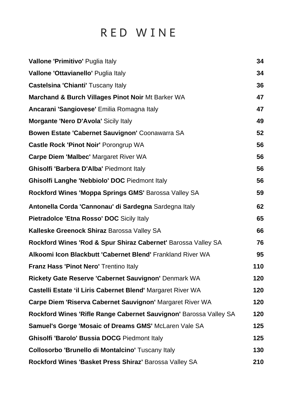### R E D W I N E

| Vallone 'Primitivo' Puglia Italy                                  | 34  |
|-------------------------------------------------------------------|-----|
| Vallone 'Ottavianello' Puglia Italy                               | 34  |
| Castelsina 'Chianti' Tuscany Italy                                | 36  |
| Marchand & Burch Villages Pinot Noir Mt Barker WA                 | 47  |
| Ancarani 'Sangiovese' Emilia Romagna Italy                        | 47  |
| Morgante 'Nero D'Avola' Sicily Italy                              | 49  |
| Bowen Estate 'Cabernet Sauvignon' Coonawarra SA                   | 52  |
| Castle Rock 'Pinot Noir' Porongrup WA                             | 56  |
| Carpe Diem 'Malbec' Margaret River WA                             | 56  |
| Ghisolfi 'Barbera D'Alba' Piedmont Italy                          | 56  |
| Ghisolfi Langhe 'Nebbiolo' DOC Piedmont Italy                     | 56  |
| Rockford Wines 'Moppa Springs GMS' Barossa Valley SA              | 59  |
| Antonella Corda 'Cannonau' di Sardegna Sardegna Italy             | 62  |
| Pietradolce 'Etna Rosso' DOC Sicily Italy                         | 65  |
| Kalleske Greenock Shiraz Barossa Valley SA                        | 66  |
| Rockford Wines 'Rod & Spur Shiraz Cabernet' Barossa Valley SA     | 76  |
| Alkoomi Icon Blackbutt 'Cabernet Blend' Frankland River WA        | 95  |
| <b>Franz Hass 'Pinot Nero' Trentino Italy</b>                     | 110 |
| Rickety Gate Reserve 'Cabernet Sauvignon' Denmark WA              | 120 |
| Castelli Estate 'il Liris Cabernet Blend' Margaret River WA       | 120 |
| Carpe Diem 'Riserva Cabernet Sauvignon' Margaret River WA         | 120 |
| Rockford Wines 'Rifle Range Cabernet Sauvignon' Barossa Valley SA | 120 |
| <b>Samuel's Gorge 'Mosaic of Dreams GMS' McLaren Vale SA</b>      | 125 |
| Ghisolfi 'Barolo' Bussia DOCG Piedmont Italy                      | 125 |
| Collosorbo 'Brunello di Montalcino' Tuscany Italy                 | 130 |
| Rockford Wines 'Basket Press Shiraz' Barossa Valley SA            | 210 |